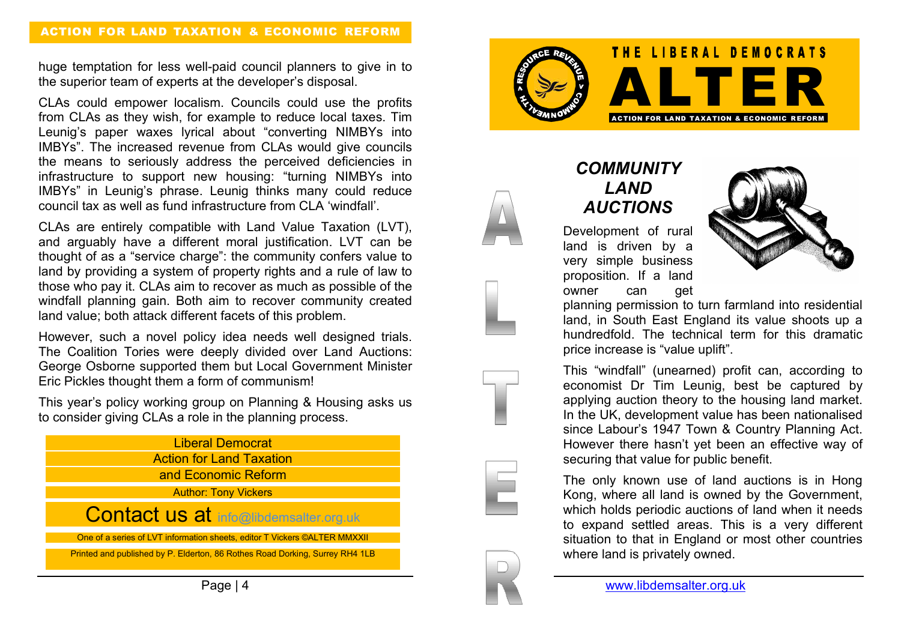## ACTION FOR LAND TAXATION & ECONOMIC REFORM

huge temptation for less well-paid council planners to give in to the superior team of experts at the developer's disposal.

CLAs could empower localism. Councils could use the profits from CLAs as they wish, for example to reduce local taxes. Tim Leunig's paper waxes lyrical about "converting NIMBYs into IMBYs". The increased revenue from CLAs would give councils the means to seriously address the perceived deficiencies in infrastructure to support new housing: "turning NIMBYs into IMBYs" in Leunig's phrase. Leunig thinks many could reduce council tax as well as fund infrastructure from CLA 'windfall'.

CLAs are entirely compatible with Land Value Taxation (LVT), and arguably have a different moral justification. LVT can be thought of as a "service charge": the community confers value to land by providing a system of property rights and a rule of law to those who pay it. CLAs aim to recover as much as possible of the windfall planning gain. Both aim to recover community created land value; both attack different facets of this problem.

However, such a novel policy idea needs well designed trials. The Coalition Tories were deeply divided over Land Auctions: George Osborne supported them but Local Government Minister Eric Pickles thought them a form of communism!

This year's policy working group on Planning & Housing asks us to consider giving CLAs a role in the planning process.





## *COMMUNITY LAND AUCTIONS*

Development of rural land is driven by a very simple business proposition. If a land owner can get



planning permission to turn farmland into residential land, in South East England its value shoots up a hundredfold. The technical term for this dramatic price increase is "value uplift".

This "windfall" (unearned) profit can, according to economist Dr Tim Leunig, best be captured by applying auction theory to the housing land market. In the UK, development value has been nationalised since Labour's 1947 Town & Country Planning Act. However there hasn't yet been an effective way of securing that value for public benefit.

The only known use of land auctions is in Hong Kong, where all land is owned by the Government, which holds periodic auctions of land when it needs to expand settled areas. This is a very different situation to that in England or most other countries where land is privately owned.